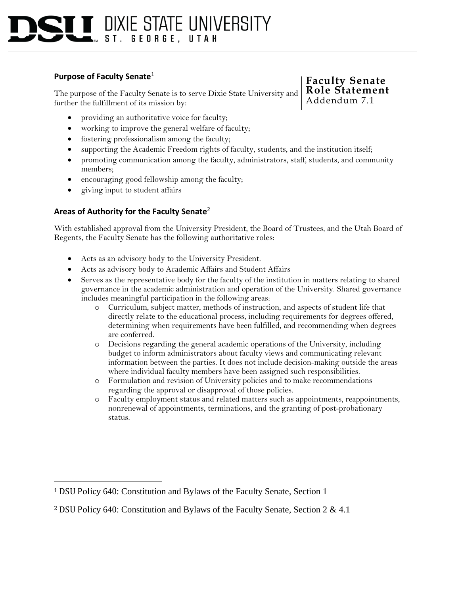## $\blacksquare$  dixie state university  $ST<sub>1</sub>$ **GEORGE. UTAH**

## **Purpose of Faculty Senate**<sup>1</sup>

The purpose of the Faculty Senate is to serve Dixie State University and further the fulfillment of its mission by:

#### providing an authoritative voice for faculty;

- working to improve the general welfare of faculty;
- fostering professionalism among the faculty;
- supporting the Academic Freedom rights of faculty, students, and the institution itself;
- promoting communication among the faculty, administrators, staff, students, and community members;
- encouraging good fellowship among the faculty;
- giving input to student affairs

#### **Areas of Authority for the Faculty Senate**<sup>2</sup>

With established approval from the University President, the Board of Trustees, and the Utah Board of Regents, the Faculty Senate has the following authoritative roles:

- Acts as an advisory body to the University President.
- Acts as advisory body to Academic Affairs and Student Affairs
- Serves as the representative body for the faculty of the institution in matters relating to shared governance in the academic administration and operation of the University. Shared governance includes meaningful participation in the following areas:
	- o Curriculum, subject matter, methods of instruction, and aspects of student life that directly relate to the educational process, including requirements for degrees offered, determining when requirements have been fulfilled, and recommending when degrees are conferred.
	- o Decisions regarding the general academic operations of the University, including budget to inform administrators about faculty views and communicating relevant information between the parties. It does not include decision-making outside the areas where individual faculty members have been assigned such responsibilities.
	- o Formulation and revision of University policies and to make recommendations regarding the approval or disapproval of those policies.
	- o Faculty employment status and related matters such as appointments, reappointments, nonrenewal of appointments, terminations, and the granting of post-probationary status.

## **Faculty Senate Role Statement** Addendum 7.1

<sup>1</sup> DSU Policy 640: Constitution and Bylaws of the Faculty Senate, Section 1

<sup>2</sup> DSU Policy 640: Constitution and Bylaws of the Faculty Senate, Section 2 & 4.1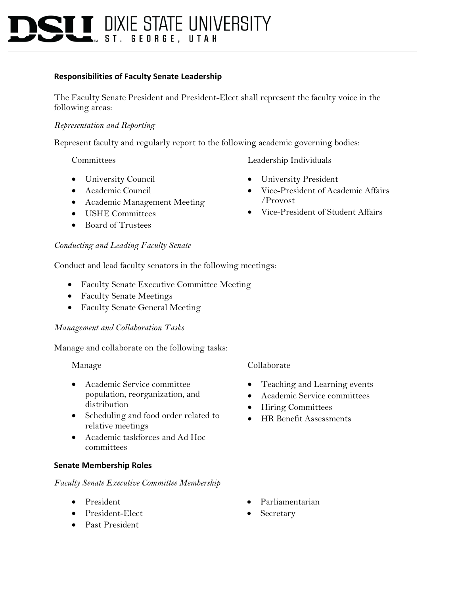# **T T** DIXIE STATE UNIVERSITY **GEORGE. UTAH**

## **Responsibilities of Faculty Senate Leadership**

The Faculty Senate President and President-Elect shall represent the faculty voice in the following areas:

## *Representation and Reporting*

Represent faculty and regularly report to the following academic governing bodies:

Committees

- University Council
- Academic Council
- Academic Management Meeting
- USHE Committees
- Board of Trustees

#### *Conducting and Leading Faculty Senate*

Conduct and lead faculty senators in the following meetings:

- Faculty Senate Executive Committee Meeting
- Faculty Senate Meetings
- Faculty Senate General Meeting

#### *Management and Collaboration Tasks*

Manage and collaborate on the following tasks:

Manage

- Academic Service committee population, reorganization, and distribution
- Scheduling and food order related to relative meetings
- Academic taskforces and Ad Hoc committees

#### **Senate Membership Roles**

#### *Faculty Senate Executive Committee Membership*

- President
- President-Elect
- Past President

## Collaborate

- Teaching and Learning events
- Academic Service committees
- Hiring Committees
- HR Benefit Assessments
- Leadership Individuals
- University President
- Vice-President of Academic Affairs /Provost
- Vice-President of Student Affairs

- Parliamentarian
- **Secretary**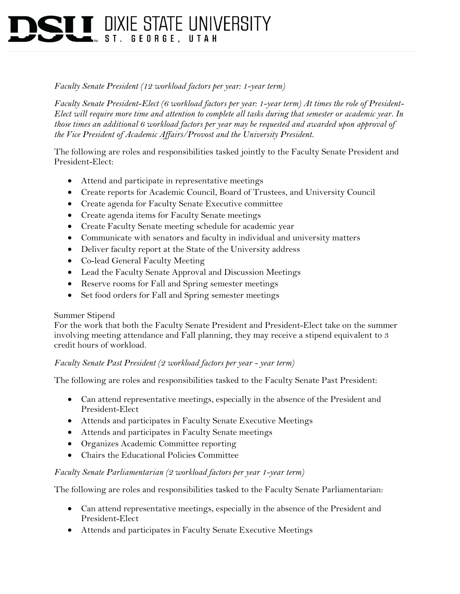## **T T** DIXIE STATE UNIVERSITY ST. GEORGE. UTAH

## *Faculty Senate President (12 workload factors per year: 1-year term)*

*Faculty Senate President-Elect (6 workload factors per year: 1-year term) At times the role of President-Elect will require more time and attention to complete all tasks during that semester or academic year. In those times an additional 6 workload factors per year may be requested and awarded upon approval of the Vice President of Academic Affairs/Provost and the University President.* 

The following are roles and responsibilities tasked jointly to the Faculty Senate President and President-Elect:

- Attend and participate in representative meetings
- Create reports for Academic Council, Board of Trustees, and University Council
- Create agenda for Faculty Senate Executive committee
- Create agenda items for Faculty Senate meetings
- Create Faculty Senate meeting schedule for academic year
- Communicate with senators and faculty in individual and university matters
- Deliver faculty report at the State of the University address
- Co-lead General Faculty Meeting
- Lead the Faculty Senate Approval and Discussion Meetings
- Reserve rooms for Fall and Spring semester meetings
- Set food orders for Fall and Spring semester meetings

## Summer Stipend

For the work that both the Faculty Senate President and President-Elect take on the summer involving meeting attendance and Fall planning, they may receive a stipend equivalent to 3 credit hours of workload.

## *Faculty Senate Past President (2 workload factors per year - year term)*

The following are roles and responsibilities tasked to the Faculty Senate Past President:

- Can attend representative meetings, especially in the absence of the President and President-Elect
- Attends and participates in Faculty Senate Executive Meetings
- Attends and participates in Faculty Senate meetings
- Organizes Academic Committee reporting
- Chairs the Educational Policies Committee

## *Faculty Senate Parliamentarian (2 workload factors per year 1-year term)*

The following are roles and responsibilities tasked to the Faculty Senate Parliamentarian:

- Can attend representative meetings, especially in the absence of the President and President-Elect
- Attends and participates in Faculty Senate Executive Meetings